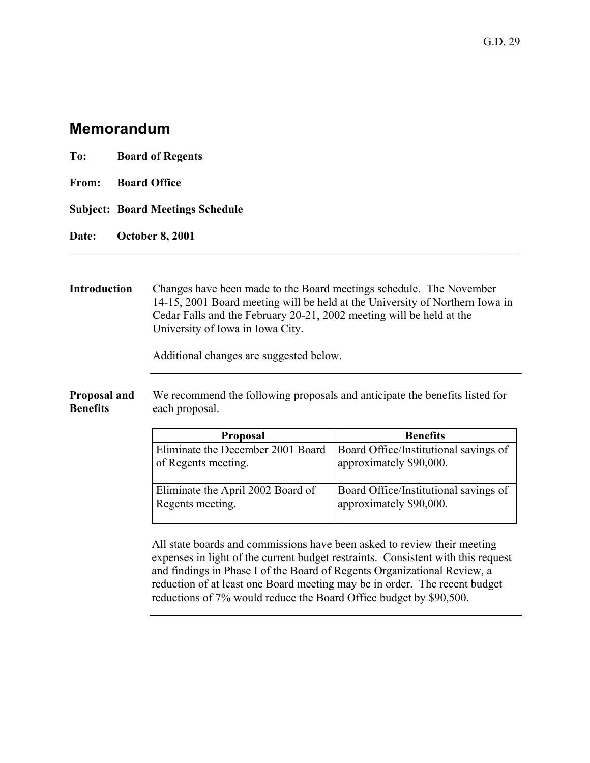## **Memorandum**

| To: | <b>Board of Regents</b>                 |
|-----|-----------------------------------------|
|     | From: Board Office                      |
|     | <b>Subject: Board Meetings Schedule</b> |
|     | Date: October 8, 2001                   |

## **Introduction** Changes have been made to the Board meetings schedule. The November 14-15, 2001 Board meeting will be held at the University of Northern Iowa in Cedar Falls and the February 20-21, 2002 meeting will be held at the University of Iowa in Iowa City.

 $\mathcal{L}_\mathcal{L} = \mathcal{L}_\mathcal{L} = \mathcal{L}_\mathcal{L} = \mathcal{L}_\mathcal{L} = \mathcal{L}_\mathcal{L} = \mathcal{L}_\mathcal{L} = \mathcal{L}_\mathcal{L} = \mathcal{L}_\mathcal{L} = \mathcal{L}_\mathcal{L} = \mathcal{L}_\mathcal{L} = \mathcal{L}_\mathcal{L} = \mathcal{L}_\mathcal{L} = \mathcal{L}_\mathcal{L} = \mathcal{L}_\mathcal{L} = \mathcal{L}_\mathcal{L} = \mathcal{L}_\mathcal{L} = \mathcal{L}_\mathcal{L}$ 

Additional changes are suggested below.

**Proposal and Benefits**  We recommend the following proposals and anticipate the benefits listed for each proposal.

| <b>Proposal</b>                   | <b>Benefits</b>                       |
|-----------------------------------|---------------------------------------|
| Eliminate the December 2001 Board | Board Office/Institutional savings of |
| of Regents meeting.               | approximately \$90,000.               |
| Eliminate the April 2002 Board of | Board Office/Institutional savings of |
| Regents meeting.                  | approximately \$90,000.               |

All state boards and commissions have been asked to review their meeting expenses in light of the current budget restraints. Consistent with this request and findings in Phase I of the Board of Regents Organizational Review, a reduction of at least one Board meeting may be in order. The recent budget reductions of 7% would reduce the Board Office budget by \$90,500.